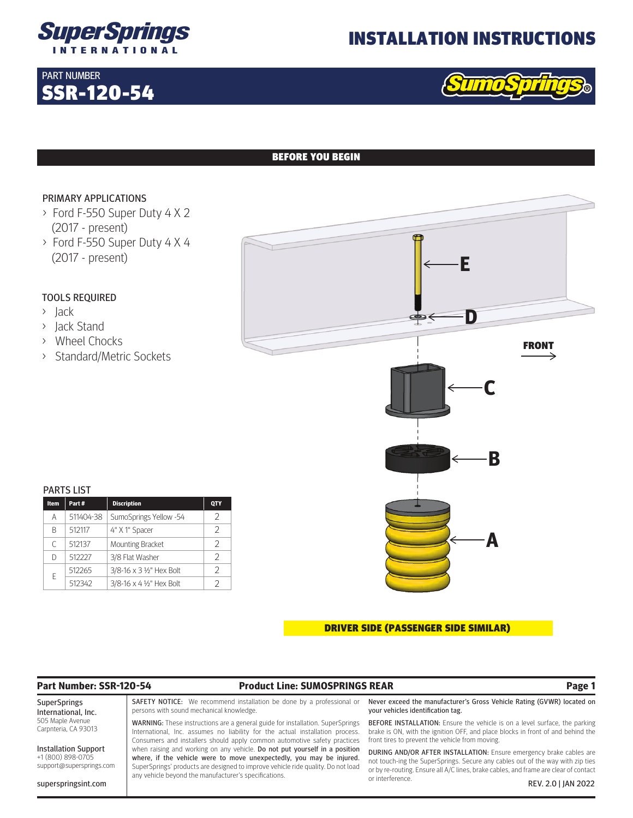

# INSTALLATION INSTRUCTIONS



## BEFORE YOU BEGIN

### PRIMARY APPLICATIONS

SSR-120-54

PART NUMBER

- > Ford F-550 Super Duty 4 X 2 (2017 - present)
- > Ford F-550 Super Duty 4 X 4 (2017 - present)

## TOOLS REQUIRED

- > Jack
- > Jack Stand
- > Wheel Chocks
- > Standard/Metric Sockets

| F<br>E<br>$\leftarrow$                              |  |
|-----------------------------------------------------|--|
| D<br>$\Rightarrow$<br><b>FRONT</b><br>$\Rightarrow$ |  |
| $-\mathbf{C}$<br>$\longleftarrow$                   |  |
| B<br>$\Leftarrow$                                   |  |
| A<br>$\Leftarrow$                                   |  |

### PARTS LIST

| <b>Item</b> | Part#     | <b>Discription</b>                       | <b>QTY</b> |
|-------------|-----------|------------------------------------------|------------|
| А           | 511404-38 | SumoSprings Yellow -54                   | C          |
| R           | 512117    | 4" X 1" Spacer                           | 2          |
| C           | 512137    | <b>Mounting Bracket</b>                  | 2          |
| D           | 512227    | 3/8 Flat Washer                          | フ          |
| F           | 512265    | $3/8 - 16 \times 3 \frac{1}{2}$ Hex Bolt | 2          |
|             | 512342    | $3/8 - 16 \times 4 \frac{1}{2}$ Hex Bolt | C          |

### DRIVER SIDE (PASSENGER SIDE SIMILAR)

# **Part Number: SSR-120-54 Product Line: SUMOSPRINGS REAR Page 1**

SuperSprings International, Inc. 505 Maple Avenue Carpnteria, CA 93013

Installation Support +1 (800) 898-0705 support@supersprings.com

superspringsint.com

SAFETY NOTICE: We recommend installation be done by a professional or persons with sound mechanical knowledge.

WARNING: These instructions are a general guide for installation. SuperSprings International, Inc. assumes no liability for the actual installation process. Consumers and installers should apply common automotive safety practices when raising and working on any vehicle. Do not put yourself in a position where, if the vehicle were to move unexpectedly, you may be injured. SuperSprings' products are designed to improve vehicle ride quality. Do not load any vehicle beyond the manufacturer's specifications.

Never exceed the manufacturer's Gross Vehicle Rating (GVWR) located on your vehicles identification tag.

BEFORE INSTALLATION: Ensure the vehicle is on a level surface, the parking brake is ON, with the ignition OFF, and place blocks in front of and behind the front tires to prevent the vehicle from moving.

DURING AND/OR AFTER INSTALLATION: Ensure emergency brake cables are not touch-ing the SuperSprings. Secure any cables out of the way with zip ties or by re-routing. Ensure all A/C lines, brake cables, and frame are clear of contact or interference. REV. 2.0 | JAN 2022